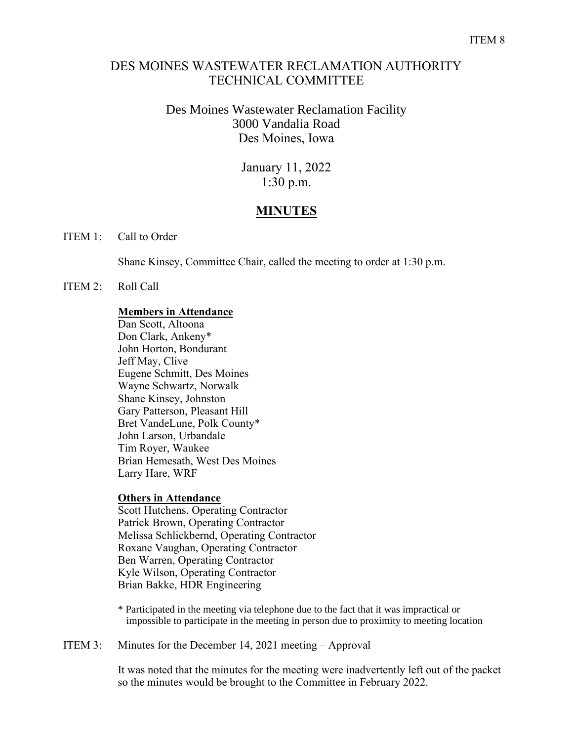## DES MOINES WASTEWATER RECLAMATION AUTHORITY TECHNICAL COMMITTEE

## Des Moines Wastewater Reclamation Facility 3000 Vandalia Road Des Moines, Iowa

January 11, 2022 1:30 p.m.

# **MINUTES**

ITEM 1: Call to Order

Shane Kinsey, Committee Chair, called the meeting to order at 1:30 p.m.

ITEM 2: Roll Call

### **Members in Attendance**

Dan Scott, Altoona Don Clark, Ankeny\* John Horton, Bondurant Jeff May, Clive Eugene Schmitt, Des Moines Wayne Schwartz, Norwalk Shane Kinsey, Johnston Gary Patterson, Pleasant Hill Bret VandeLune, Polk County\* John Larson, Urbandale Tim Royer, Waukee Brian Hemesath, West Des Moines Larry Hare, WRF

#### **Others in Attendance**

Scott Hutchens, Operating Contractor Patrick Brown, Operating Contractor Melissa Schlickbernd, Operating Contractor Roxane Vaughan, Operating Contractor Ben Warren, Operating Contractor Kyle Wilson, Operating Contractor Brian Bakke, HDR Engineering

\* Participated in the meeting via telephone due to the fact that it was impractical or impossible to participate in the meeting in person due to proximity to meeting location

ITEM 3: Minutes for the December 14, 2021 meeting – Approval

It was noted that the minutes for the meeting were inadvertently left out of the packet so the minutes would be brought to the Committee in February 2022.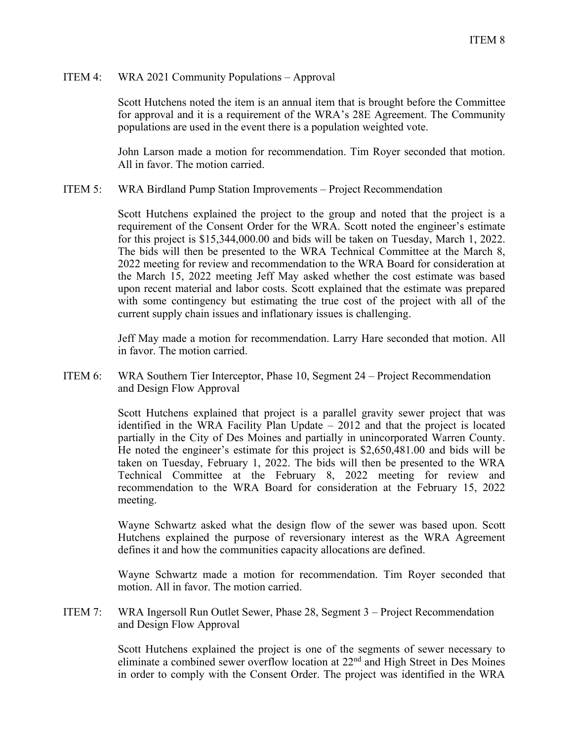### ITEM 4: WRA 2021 Community Populations – Approval

Scott Hutchens noted the item is an annual item that is brought before the Committee for approval and it is a requirement of the WRA's 28E Agreement. The Community populations are used in the event there is a population weighted vote.

John Larson made a motion for recommendation. Tim Royer seconded that motion. All in favor. The motion carried.

ITEM 5: WRA Birdland Pump Station Improvements – Project Recommendation

Scott Hutchens explained the project to the group and noted that the project is a requirement of the Consent Order for the WRA. Scott noted the engineer's estimate for this project is \$15,344,000.00 and bids will be taken on Tuesday, March 1, 2022. The bids will then be presented to the WRA Technical Committee at the March 8, 2022 meeting for review and recommendation to the WRA Board for consideration at the March 15, 2022 meeting Jeff May asked whether the cost estimate was based upon recent material and labor costs. Scott explained that the estimate was prepared with some contingency but estimating the true cost of the project with all of the current supply chain issues and inflationary issues is challenging.

Jeff May made a motion for recommendation. Larry Hare seconded that motion. All in favor. The motion carried.

ITEM 6: WRA Southern Tier Interceptor, Phase 10, Segment 24 – Project Recommendation and Design Flow Approval

> Scott Hutchens explained that project is a parallel gravity sewer project that was identified in the WRA Facility Plan Update – 2012 and that the project is located partially in the City of Des Moines and partially in unincorporated Warren County. He noted the engineer's estimate for this project is \$2,650,481.00 and bids will be taken on Tuesday, February 1, 2022. The bids will then be presented to the WRA Technical Committee at the February 8, 2022 meeting for review and recommendation to the WRA Board for consideration at the February 15, 2022 meeting.

> Wayne Schwartz asked what the design flow of the sewer was based upon. Scott Hutchens explained the purpose of reversionary interest as the WRA Agreement defines it and how the communities capacity allocations are defined.

> Wayne Schwartz made a motion for recommendation. Tim Royer seconded that motion. All in favor. The motion carried.

ITEM 7: WRA Ingersoll Run Outlet Sewer, Phase 28, Segment 3 – Project Recommendation and Design Flow Approval

> Scott Hutchens explained the project is one of the segments of sewer necessary to eliminate a combined sewer overflow location at 22<sup>nd</sup> and High Street in Des Moines in order to comply with the Consent Order. The project was identified in the WRA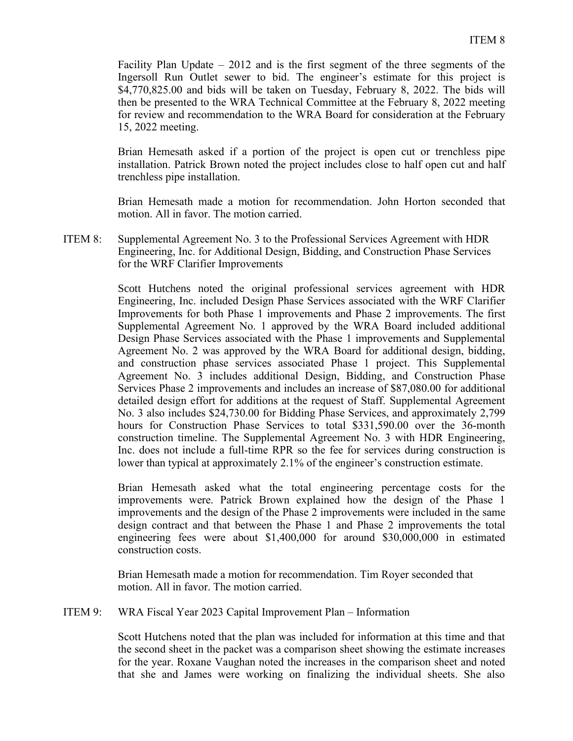Facility Plan Update – 2012 and is the first segment of the three segments of the Ingersoll Run Outlet sewer to bid. The engineer's estimate for this project is \$4,770,825.00 and bids will be taken on Tuesday, February 8, 2022. The bids will then be presented to the WRA Technical Committee at the February 8, 2022 meeting for review and recommendation to the WRA Board for consideration at the February 15, 2022 meeting.

Brian Hemesath asked if a portion of the project is open cut or trenchless pipe installation. Patrick Brown noted the project includes close to half open cut and half trenchless pipe installation.

Brian Hemesath made a motion for recommendation. John Horton seconded that motion. All in favor. The motion carried.

ITEM 8: Supplemental Agreement No. 3 to the Professional Services Agreement with HDR Engineering, Inc. for Additional Design, Bidding, and Construction Phase Services for the WRF Clarifier Improvements

> Scott Hutchens noted the original professional services agreement with HDR Engineering, Inc. included Design Phase Services associated with the WRF Clarifier Improvements for both Phase 1 improvements and Phase 2 improvements. The first Supplemental Agreement No. 1 approved by the WRA Board included additional Design Phase Services associated with the Phase 1 improvements and Supplemental Agreement No. 2 was approved by the WRA Board for additional design, bidding, and construction phase services associated Phase 1 project. This Supplemental Agreement No. 3 includes additional Design, Bidding, and Construction Phase Services Phase 2 improvements and includes an increase of \$87,080.00 for additional detailed design effort for additions at the request of Staff. Supplemental Agreement No. 3 also includes \$24,730.00 for Bidding Phase Services, and approximately 2,799 hours for Construction Phase Services to total \$331,590.00 over the 36-month construction timeline. The Supplemental Agreement No. 3 with HDR Engineering, Inc. does not include a full-time RPR so the fee for services during construction is lower than typical at approximately 2.1% of the engineer's construction estimate.

> Brian Hemesath asked what the total engineering percentage costs for the improvements were. Patrick Brown explained how the design of the Phase 1 improvements and the design of the Phase 2 improvements were included in the same design contract and that between the Phase 1 and Phase 2 improvements the total engineering fees were about \$1,400,000 for around \$30,000,000 in estimated construction costs.

Brian Hemesath made a motion for recommendation. Tim Royer seconded that motion. All in favor. The motion carried.

ITEM 9: WRA Fiscal Year 2023 Capital Improvement Plan – Information

Scott Hutchens noted that the plan was included for information at this time and that the second sheet in the packet was a comparison sheet showing the estimate increases for the year. Roxane Vaughan noted the increases in the comparison sheet and noted that she and James were working on finalizing the individual sheets. She also